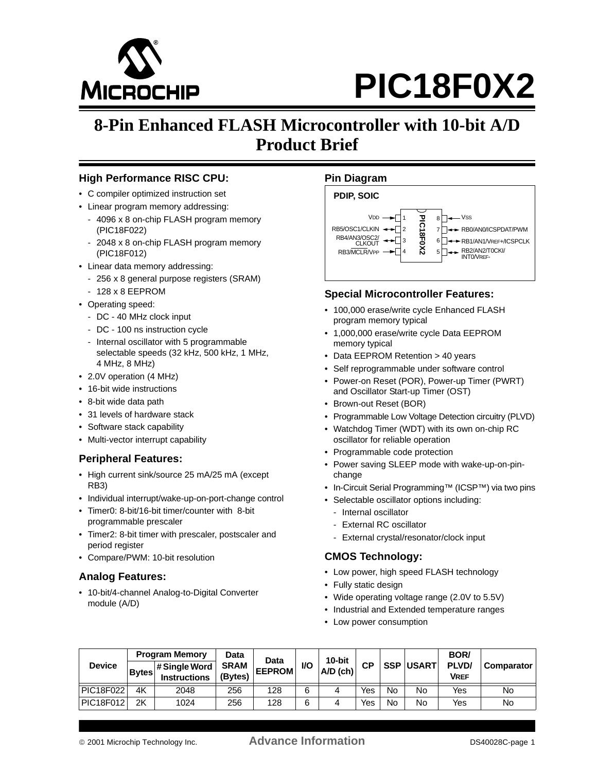

# **PIC18F0X2**

# **8-Pin Enhanced FLASH Microcontroller with 10-bit A/D Product Brief**

## **High Performance RISC CPU:**

- C compiler optimized instruction set
- Linear program memory addressing:
	- 4096 x 8 on-chip FLASH program memory (PIC18F022)
	- 2048 x 8 on-chip FLASH program memory (PIC18F012)
- Linear data memory addressing:
	- 256 x 8 general purpose registers (SRAM)
	- 128 x 8 EEPROM
- Operating speed:
	- DC 40 MHz clock input
	- DC 100 ns instruction cycle
	- Internal oscillator with 5 programmable selectable speeds (32 kHz, 500 kHz, 1 MHz, 4 MHz, 8 MHz)
- 2.0V operation (4 MHz)
- 16-bit wide instructions
- 8-bit wide data path
- 31 levels of hardware stack
- Software stack capability
- Multi-vector interrupt capability

## **Peripheral Features:**

- High current sink/source 25 mA/25 mA (except RB3)
- Individual interrupt/wake-up-on-port-change control
- Timer0: 8-bit/16-bit timer/counter with 8-bit programmable prescaler
- Timer2: 8-bit timer with prescaler, postscaler and period register
- Compare/PWM: 10-bit resolution

## **Analog Features:**

• 10-bit/4-channel Analog-to-Digital Converter module (A/D)

## **Pin Diagram**



## **Special Microcontroller Features:**

- 100,000 erase/write cycle Enhanced FLASH program memory typical
- 1,000,000 erase/write cycle Data EEPROM memory typical
- Data EEPROM Retention > 40 years
- Self reprogrammable under software control
- Power-on Reset (POR), Power-up Timer (PWRT) and Oscillator Start-up Timer (OST)
- Brown-out Reset (BOR)
- Programmable Low Voltage Detection circuitry (PLVD)
- Watchdog Timer (WDT) with its own on-chip RC oscillator for reliable operation
- Programmable code protection
- Power saving SLEEP mode with wake-up-on-pinchange
- In-Circuit Serial Programming™ (ICSP™) via two pins
- Selectable oscillator options including:
	- Internal oscillator
	- External RC oscillator
	- External crystal/resonator/clock input

## **CMOS Technology:**

- Low power, high speed FLASH technology
- Fully static design
- Wide operating voltage range (2.0V to 5.5V)
- Industrial and Extended temperature ranges
- Low power consumption

| <b>Device</b> | <b>Program Memory</b> |                                      | Data            | Data          |     | 10-bit     |           |    |                  | <b>BOR</b>           |            |
|---------------|-----------------------|--------------------------------------|-----------------|---------------|-----|------------|-----------|----|------------------|----------------------|------------|
|               | <b>Bytes</b>          | # Single Word<br><b>Instructions</b> | SRAM<br>(Bytes) | <b>EEPROM</b> | I/O | $A/D$ (ch) | <b>CP</b> |    | <b>SSP USART</b> | PLVD/<br><b>VREF</b> | Comparator |
| PIC18F022     | 4K                    | 2048                                 | 256             | 128           | 6   |            | Yes       | No | No.              | Yes                  | No         |
| PIC18F012     | 2Κ                    | 1024                                 | 256             | 128           | 6   |            | Yes       | No | No               | Yes                  | No         |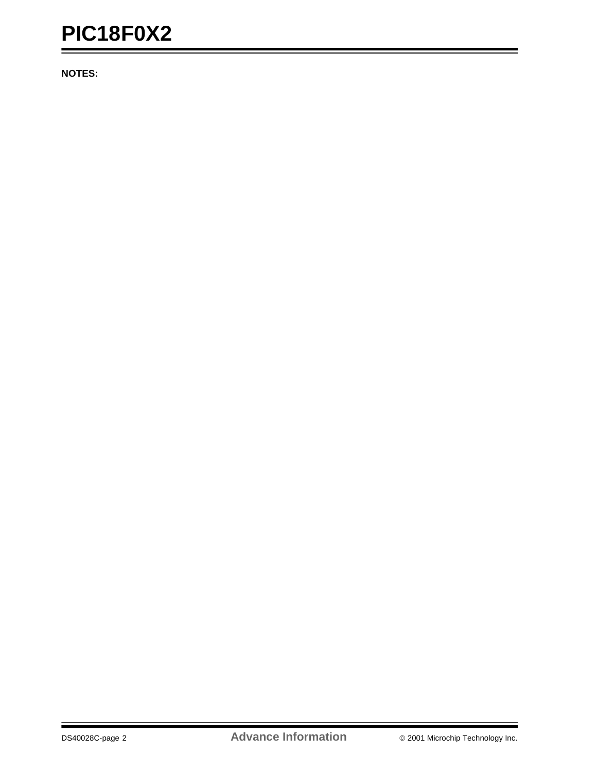**NOTES:**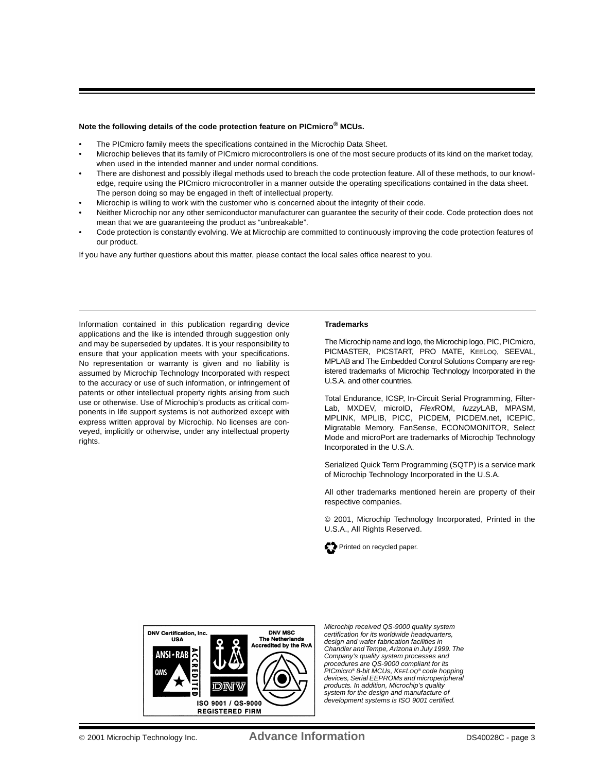#### **Note the following details of the code protection feature on PICmicro® MCUs.**

- The PICmicro family meets the specifications contained in the Microchip Data Sheet.
- Microchip believes that its family of PICmicro microcontrollers is one of the most secure products of its kind on the market today, when used in the intended manner and under normal conditions.
- There are dishonest and possibly illegal methods used to breach the code protection feature. All of these methods, to our knowledge, require using the PICmicro microcontroller in a manner outside the operating specifications contained in the data sheet. The person doing so may be engaged in theft of intellectual property.
- Microchip is willing to work with the customer who is concerned about the integrity of their code.
- Neither Microchip nor any other semiconductor manufacturer can guarantee the security of their code. Code protection does not mean that we are guaranteeing the product as "unbreakable".
- Code protection is constantly evolving. We at Microchip are committed to continuously improving the code protection features of our product.

If you have any further questions about this matter, please contact the local sales office nearest to you.

Information contained in this publication regarding device applications and the like is intended through suggestion only and may be superseded by updates. It is your responsibility to ensure that your application meets with your specifications. No representation or warranty is given and no liability is assumed by Microchip Technology Incorporated with respect to the accuracy or use of such information, or infringement of patents or other intellectual property rights arising from such use or otherwise. Use of Microchip's products as critical components in life support systems is not authorized except with express written approval by Microchip. No licenses are conveyed, implicitly or otherwise, under any intellectual property rights

#### **Trademarks**

The Microchip name and logo, the Microchip logo, PIC, PICmicro, PICMASTER, PICSTART, PRO MATE, KEELOQ, SEEVAL, MPLAB and The Embedded Control Solutions Company are registered trademarks of Microchip Technology Incorporated in the U.S.A. and other countries.

Total Endurance, ICSP, In-Circuit Serial Programming, Filter-Lab, MXDEV, microID, *Flex*ROM, *fuzzy*LAB, MPASM, MPLINK, MPLIB, PICC, PICDEM, PICDEM.net, ICEPIC, Migratable Memory, FanSense, ECONOMONITOR, Select Mode and microPort are trademarks of Microchip Technology Incorporated in the U.S.A.

Serialized Quick Term Programming (SQTP) is a service mark of Microchip Technology Incorporated in the U.S.A.

All other trademarks mentioned herein are property of their respective companies.

© 2001, Microchip Technology Incorporated, Printed in the U.S.A., All Rights Reserved.





*Microchip received QS-9000 quality system certification for its worldwide headquarters, design and wafer fabrication facilities in Chandler and Tempe, Arizona in July 1999. The Company's quality system processes and procedures are QS-9000 compliant for its PICmicro® 8-bit MCUs, KEELOQ® code hopping devices, Serial EEPROMs and microperipheral products. In addition, Microchip's quality system for the design and manufacture of development systems is ISO 9001 certified.*